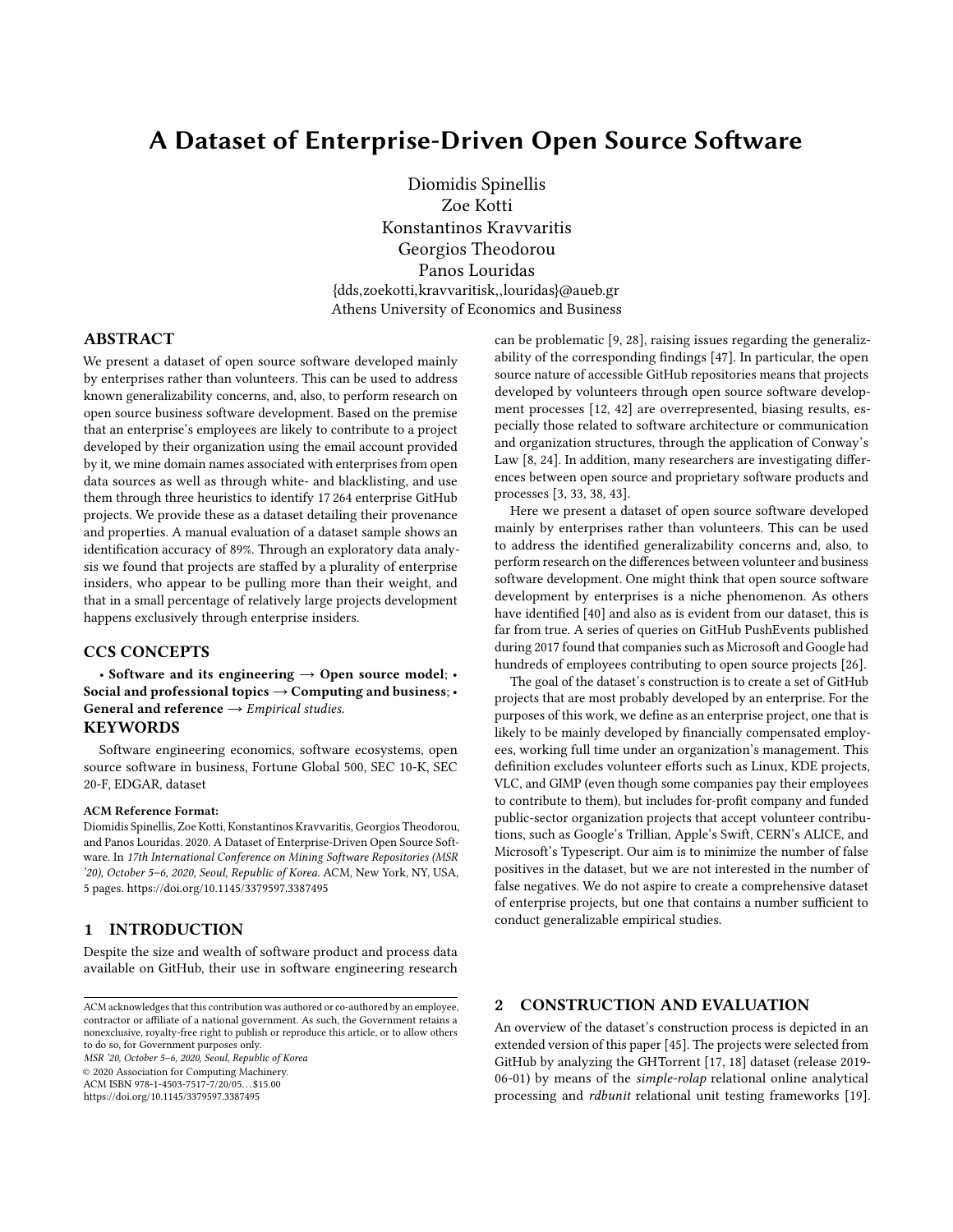# A Dataset of Enterprise-Driven Open Source Software

Diomidis Spinellis Zoe Kotti Konstantinos Kravvaritis Georgios Theodorou Panos Louridas {dds,zoekotti,kravvaritisk,,louridas}@aueb.gr Athens University of Economics and Business

#### ABSTRACT

We present a dataset of open source software developed mainly by enterprises rather than volunteers. This can be used to address known generalizability concerns, and, also, to perform research on open source business software development. Based on the premise that an enterprise's employees are likely to contribute to a project developed by their organization using the email account provided by it, we mine domain names associated with enterprises from open data sources as well as through white- and blacklisting, and use them through three heuristics to identify 17 264 enterprise GitHub projects. We provide these as a dataset detailing their provenance and properties. A manual evaluation of a dataset sample shows an identification accuracy of 89%. Through an exploratory data analysis we found that projects are staffed by a plurality of enterprise insiders, who appear to be pulling more than their weight, and that in a small percentage of relatively large projects development happens exclusively through enterprise insiders.

#### CCS CONCEPTS

• Software and its engineering  $\rightarrow$  Open source model; • Social and professional topics  $\rightarrow$  Computing and business; • General and reference  $\rightarrow$  Empirical studies.

## **KEYWORDS**

Software engineering economics, software ecosystems, open source software in business, Fortune Global 500, SEC 10-K, SEC 20-F, EDGAR, dataset

#### ACM Reference Format:

Diomidis Spinellis, Zoe Kotti, Konstantinos Kravvaritis, Georgios Theodorou, and Panos Louridas. 2020. A Dataset of Enterprise-Driven Open Source Software. In 17th International Conference on Mining Software Repositories (MSR '20), October 5–6, 2020, Seoul, Republic of Korea. ACM, New York, NY, USA, [5](#page-4-0) pages.<https://doi.org/10.1145/3379597.3387495>

#### <span id="page-0-0"></span>1 INTRODUCTION

Despite the size and wealth of software product and process data available on GitHub, their use in software engineering research

MSR '20, October 5–6, 2020, Seoul, Republic of Korea

© 2020 Association for Computing Machinery.

ACM ISBN 978-1-4503-7517-7/20/05. . . \$15.00

<https://doi.org/10.1145/3379597.3387495>

can be problematic [\[9,](#page-4-1) [28\]](#page-4-2), raising issues regarding the generalizability of the corresponding findings [\[47\]](#page-4-3). In particular, the open source nature of accessible GitHub repositories means that projects developed by volunteers through open source software development processes [\[12,](#page-4-4) [42\]](#page-4-5) are overrepresented, biasing results, especially those related to software architecture or communication and organization structures, through the application of Conway's Law [\[8,](#page-4-6) [24\]](#page-4-7). In addition, many researchers are investigating differences between open source and proprietary software products and processes [\[3,](#page-3-0) [33,](#page-4-8) [38,](#page-4-9) [43\]](#page-4-10).

Here we present a dataset of open source software developed mainly by enterprises rather than volunteers. This can be used to address the identified generalizability concerns and, also, to perform research on the differences between volunteer and business software development. One might think that open source software development by enterprises is a niche phenomenon. As others have identified [\[40\]](#page-4-11) and also as is evident from our dataset, this is far from true. A series of queries on GitHub PushEvents published during 2017 found that companies such as Microsoft and Google had hundreds of employees contributing to open source projects [\[26\]](#page-4-12).

The goal of the dataset's construction is to create a set of GitHub projects that are most probably developed by an enterprise. For the purposes of this work, we define as an enterprise project, one that is likely to be mainly developed by financially compensated employees, working full time under an organization's management. This definition excludes volunteer efforts such as Linux, KDE projects, VLC, and GIMP (even though some companies pay their employees to contribute to them), but includes for-profit company and funded public-sector organization projects that accept volunteer contributions, such as Google's Trillian, Apple's Swift, CERN's ALICE, and Microsoft's Typescript. Our aim is to minimize the number of false positives in the dataset, but we are not interested in the number of false negatives. We do not aspire to create a comprehensive dataset of enterprise projects, but one that contains a number sufficient to conduct generalizable empirical studies.

#### <span id="page-0-1"></span>2 CONSTRUCTION AND EVALUATION

An overview of the dataset's construction process is depicted in an extended version of this paper [\[45\]](#page-4-13). The projects were selected from GitHub by analyzing the GHTorrent [\[17,](#page-4-14) [18\]](#page-4-15) dataset (release 2019- 06-01) by means of the simple-rolap relational online analytical processing and rdbunit relational unit testing frameworks [\[19\]](#page-4-16).

ACM acknowledges that this contribution was authored or co-authored by an employee, contractor or affiliate of a national government. As such, the Government retains a nonexclusive, royalty-free right to publish or reproduce this article, or to allow others to do so, for Government purposes only.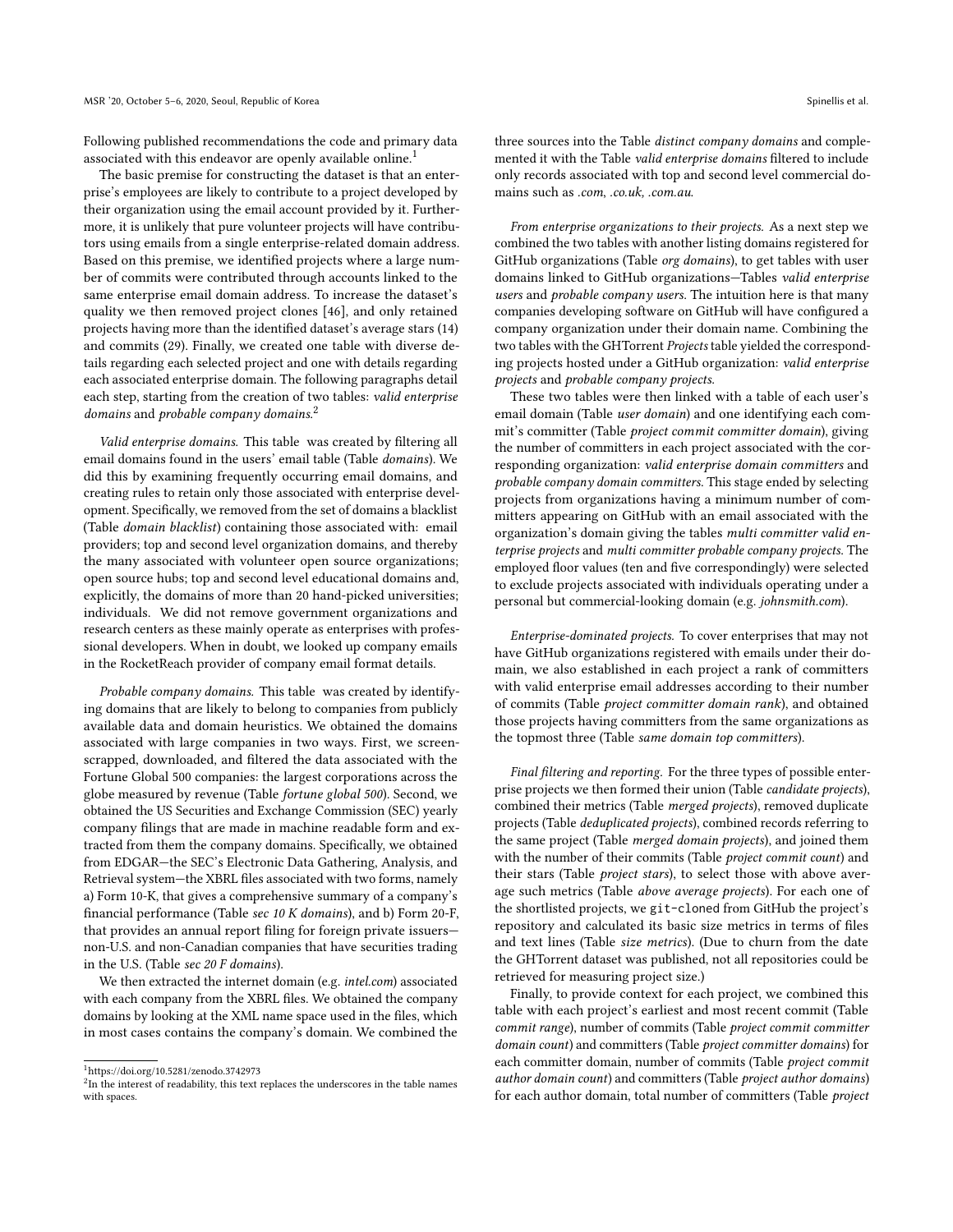Following published recommendations the code and primary data associated with this endeavor are openly available online.<sup>[1](#page-1-0)</sup>

The basic premise for constructing the dataset is that an enterprise's employees are likely to contribute to a project developed by their organization using the email account provided by it. Furthermore, it is unlikely that pure volunteer projects will have contributors using emails from a single enterprise-related domain address. Based on this premise, we identified projects where a large number of commits were contributed through accounts linked to the same enterprise email domain address. To increase the dataset's quality we then removed project clones [\[46\]](#page-4-17), and only retained projects having more than the identified dataset's average stars (14) and commits (29). Finally, we created one table with diverse details regarding each selected project and one with details regarding each associated enterprise domain. The following paragraphs detail each step, starting from the creation of two tables: valid enterprise domains and probable company domains.<sup>[2](#page-1-1)</sup>

Valid enterprise domains. This table was created by filtering all email domains found in the users' email table (Table domains). We did this by examining frequently occurring email domains, and creating rules to retain only those associated with enterprise development. Specifically, we removed from the set of domains a blacklist (Table domain blacklist) containing those associated with: email providers; top and second level organization domains, and thereby the many associated with volunteer open source organizations; open source hubs; top and second level educational domains and, explicitly, the domains of more than 20 hand-picked universities; individuals. We did not remove government organizations and research centers as these mainly operate as enterprises with professional developers. When in doubt, we looked up company emails in the RocketReach provider of company email format details.

Probable company domains. This table was created by identifying domains that are likely to belong to companies from publicly available data and domain heuristics. We obtained the domains associated with large companies in two ways. First, we screenscrapped, downloaded, and filtered the data associated with the Fortune Global 500 companies: the largest corporations across the globe measured by revenue (Table fortune global 500). Second, we obtained the US Securities and Exchange Commission (SEC) yearly company filings that are made in machine readable form and extracted from them the company domains. Specifically, we obtained from EDGAR—the SEC's Electronic Data Gathering, Analysis, and Retrieval system—the XBRL files associated with two forms, namely a) Form 10-K, that gives a comprehensive summary of a company's financial performance (Table sec 10 K domains), and b) Form 20-F, that provides an annual report filing for foreign private issuers non-U.S. and non-Canadian companies that have securities trading in the U.S. (Table sec 20 F domains).

We then extracted the internet domain (e.g. intel.com) associated with each company from the XBRL files. We obtained the company domains by looking at the XML name space used in the files, which in most cases contains the company's domain. We combined the three sources into the Table distinct company domains and complemented it with the Table valid enterprise domains filtered to include only records associated with top and second level commercial domains such as .com, .co.uk, .com.au.

From enterprise organizations to their projects. As a next step we combined the two tables with another listing domains registered for GitHub organizations (Table org domains), to get tables with user domains linked to GitHub organizations—Tables valid enterprise users and probable company users. The intuition here is that many companies developing software on GitHub will have configured a company organization under their domain name. Combining the two tables with the GHTorrent Projects table yielded the corresponding projects hosted under a GitHub organization: valid enterprise projects and probable company projects.

These two tables were then linked with a table of each user's email domain (Table user domain) and one identifying each commit's committer (Table project commit committer domain), giving the number of committers in each project associated with the corresponding organization: valid enterprise domain committers and probable company domain committers. This stage ended by selecting projects from organizations having a minimum number of committers appearing on GitHub with an email associated with the organization's domain giving the tables multi committer valid enterprise projects and multi committer probable company projects. The employed floor values (ten and five correspondingly) were selected to exclude projects associated with individuals operating under a personal but commercial-looking domain (e.g. johnsmith.com).

Enterprise-dominated projects. To cover enterprises that may not have GitHub organizations registered with emails under their domain, we also established in each project a rank of committers with valid enterprise email addresses according to their number of commits (Table project committer domain rank), and obtained those projects having committers from the same organizations as the topmost three (Table same domain top committers).

Final filtering and reporting. For the three types of possible enterprise projects we then formed their union (Table candidate projects), combined their metrics (Table merged projects), removed duplicate projects (Table deduplicated projects), combined records referring to the same project (Table merged domain projects), and joined them with the number of their commits (Table project commit count) and their stars (Table *project stars*), to select those with above average such metrics (Table above average projects). For each one of the shortlisted projects, we git-cloned from GitHub the project's repository and calculated its basic size metrics in terms of files and text lines (Table size metrics). (Due to churn from the date the GHTorrent dataset was published, not all repositories could be retrieved for measuring project size.)

Finally, to provide context for each project, we combined this table with each project's earliest and most recent commit (Table commit range), number of commits (Table project commit committer domain count) and committers (Table project committer domains) for each committer domain, number of commits (Table project commit author domain count) and committers (Table project author domains) for each author domain, total number of committers (Table project

<span id="page-1-0"></span><sup>1</sup><https://doi.org/10.5281/zenodo.3742973>

<span id="page-1-1"></span> ${}^{2}\mathrm{In}$  the interest of readability, this text replaces the underscores in the table names with spaces.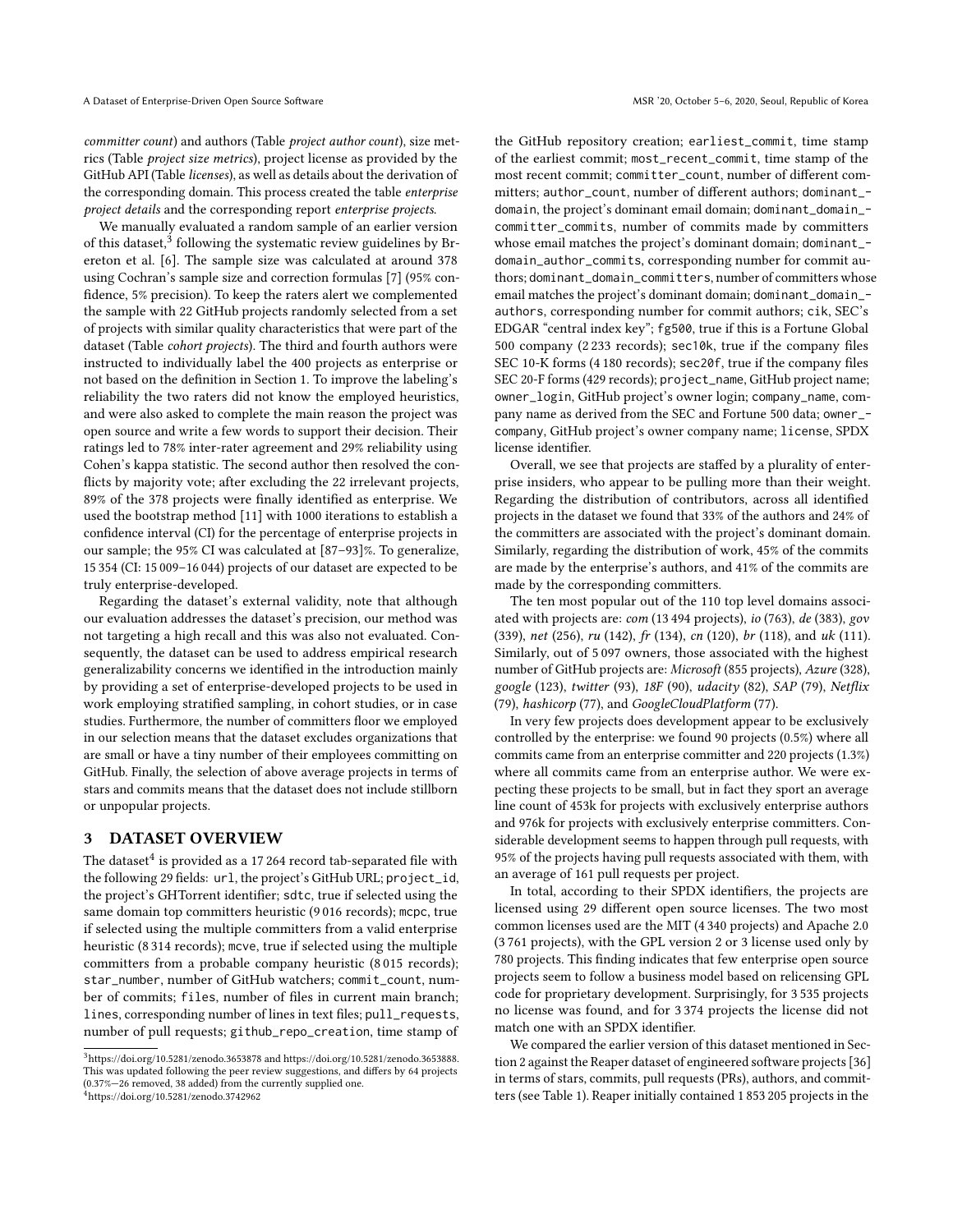committer count) and authors (Table project author count), size metrics (Table project size metrics), project license as provided by the GitHub API (Table licenses), as well as details about the derivation of the corresponding domain. This process created the table enterprise project details and the corresponding report enterprise projects.

We manually evaluated a random sample of an earlier version of this dataset,<sup>[3](#page-2-0)</sup> following the systematic review guidelines by Brereton et al. [\[6\]](#page-4-18). The sample size was calculated at around 378 using Cochran's sample size and correction formulas [\[7\]](#page-4-19) (95% confidence, 5% precision). To keep the raters alert we complemented the sample with 22 GitHub projects randomly selected from a set of projects with similar quality characteristics that were part of the dataset (Table cohort projects). The third and fourth authors were instructed to individually label the 400 projects as enterprise or not based on the definition in Section [1.](#page-0-0) To improve the labeling's reliability the two raters did not know the employed heuristics, and were also asked to complete the main reason the project was open source and write a few words to support their decision. Their ratings led to 78% inter-rater agreement and 29% reliability using Cohen's kappa statistic. The second author then resolved the conflicts by majority vote; after excluding the 22 irrelevant projects, 89% of the 378 projects were finally identified as enterprise. We used the bootstrap method [\[11\]](#page-4-20) with 1000 iterations to establish a confidence interval (CI) for the percentage of enterprise projects in our sample; the 95% CI was calculated at [87–93]%. To generalize, 15 354 (CI: 15 009–16 044) projects of our dataset are expected to be truly enterprise-developed.

Regarding the dataset's external validity, note that although our evaluation addresses the dataset's precision, our method was not targeting a high recall and this was also not evaluated. Consequently, the dataset can be used to address empirical research generalizability concerns we identified in the introduction mainly by providing a set of enterprise-developed projects to be used in work employing stratified sampling, in cohort studies, or in case studies. Furthermore, the number of committers floor we employed in our selection means that the dataset excludes organizations that are small or have a tiny number of their employees committing on GitHub. Finally, the selection of above average projects in terms of stars and commits means that the dataset does not include stillborn or unpopular projects.

### 3 DATASET OVERVIEW

The dataset $^4$  $^4$  is provided as a 17 264 record tab-separated file with the following 29 fields: url, the project's GitHub URL; project\_id, the project's GHTorrent identifier; sdtc, true if selected using the same domain top committers heuristic (9 016 records); mcpc, true if selected using the multiple committers from a valid enterprise heuristic (8 314 records); mcve, true if selected using the multiple committers from a probable company heuristic (8 015 records); star\_number, number of GitHub watchers; commit\_count, number of commits; files, number of files in current main branch; lines, corresponding number of lines in text files; pull\_requests, number of pull requests; github\_repo\_creation, time stamp of

<span id="page-2-1"></span><sup>4</sup><https://doi.org/10.5281/zenodo.3742962>

the GitHub repository creation; earliest\_commit, time stamp of the earliest commit; most\_recent\_commit, time stamp of the most recent commit; committer\_count, number of different committers; author\_count, number of different authors; dominant\_ domain, the project's dominant email domain; dominant\_domain\_ committer\_commits, number of commits made by committers whose email matches the project's dominant domain; dominant\_ domain\_author\_commits, corresponding number for commit authors; dominant\_domain\_committers, number of committers whose email matches the project's dominant domain; dominant\_domain\_ authors, corresponding number for commit authors; cik, SEC's EDGAR "central index key"; fg500, true if this is a Fortune Global 500 company (2 233 records); sec10k, true if the company files SEC 10-K forms (4 180 records); sec20f, true if the company files SEC 20-F forms (429 records); project\_name, GitHub project name; owner\_login, GitHub project's owner login; company\_name, company name as derived from the SEC and Fortune 500 data; owner\_ company, GitHub project's owner company name; license, SPDX license identifier.

Overall, we see that projects are staffed by a plurality of enterprise insiders, who appear to be pulling more than their weight. Regarding the distribution of contributors, across all identified projects in the dataset we found that 33% of the authors and 24% of the committers are associated with the project's dominant domain. Similarly, regarding the distribution of work, 45% of the commits are made by the enterprise's authors, and 41% of the commits are made by the corresponding committers.

The ten most popular out of the 110 top level domains associated with projects are: com (13 494 projects), io (763), de (383), gov (339), net (256), ru (142), fr (134), cn (120), br (118), and uk (111). Similarly, out of 5 097 owners, those associated with the highest number of GitHub projects are: Microsoft (855 projects), Azure (328), google (123), twitter (93), 18F (90), udacity (82), SAP (79), Netflix (79), hashicorp (77), and GoogleCloudPlatform (77).

In very few projects does development appear to be exclusively controlled by the enterprise: we found 90 projects (0.5%) where all commits came from an enterprise committer and 220 projects (1.3%) where all commits came from an enterprise author. We were expecting these projects to be small, but in fact they sport an average line count of 453k for projects with exclusively enterprise authors and 976k for projects with exclusively enterprise committers. Considerable development seems to happen through pull requests, with 95% of the projects having pull requests associated with them, with an average of 161 pull requests per project.

In total, according to their SPDX identifiers, the projects are licensed using 29 different open source licenses. The two most common licenses used are the MIT (4 340 projects) and Apache 2.0 (3 761 projects), with the GPL version 2 or 3 license used only by 780 projects. This finding indicates that few enterprise open source projects seem to follow a business model based on relicensing GPL code for proprietary development. Surprisingly, for 3 535 projects no license was found, and for 3 374 projects the license did not match one with an SPDX identifier.

We compared the earlier version of this dataset mentioned in Section [2](#page-0-1) against the Reaper dataset of engineered software projects [\[36\]](#page-4-21) in terms of stars, commits, pull requests (PRs), authors, and committers (see Table [1\)](#page-3-1). Reaper initially contained 1 853 205 projects in the

<span id="page-2-0"></span><sup>3</sup><https://doi.org/10.5281/zenodo.3653878> and [https://doi.org/10.5281/zenodo.3653888.](https://doi.org/10.5281/zenodo.3653888) This was updated following the peer review suggestions, and differs by 64 projects (0.37%—26 removed, 38 added) from the currently supplied one.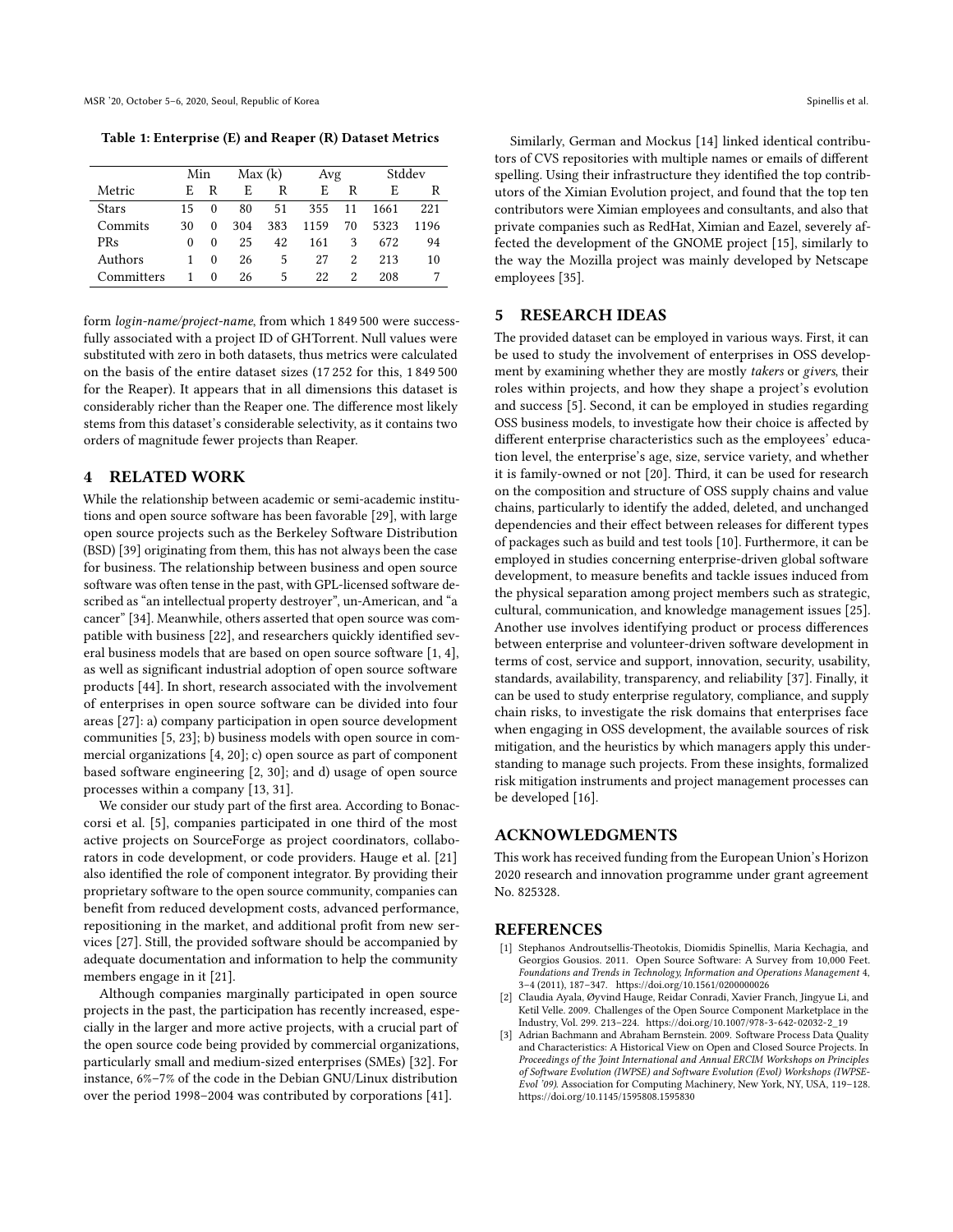MSR '20, October 5–6, 2020, Seoul, Republic of Korea Spinellis et al. (2012) and Spinellis et al. (2013) And Spinellis et al. (2014) and Spinellis et al. (2014) and Spinellis et al. (2014) and Spinellis et al. (2014) And S

<span id="page-3-1"></span>Table 1: Enterprise (E) and Reaper (R) Dataset Metrics

|              | Min |          | Max(k) |     | Avg  |    | Stddev |      |
|--------------|-----|----------|--------|-----|------|----|--------|------|
| Metric       | F.  | R        | F.     | R   | E    | R  | F.     | R    |
| <b>Stars</b> | 15  | $\Omega$ | 80     | 51  | 355  | 11 | 1661   | 221  |
| Commits      | 30  | $\Omega$ | 304    | 383 | 1159 | 70 | 5323   | 1196 |
| <b>PRs</b>   | 0   | $\Omega$ | 25     | 42  | 161  | 3  | 672    | 94   |
| Authors      | 1   | $\Omega$ | 26     | 5   | 27   | 2  | 213    | 10   |
| Committers   | 1   | $\Omega$ | 26     | 5   | 22   | 2  | 208    |      |

form login-name/project-name, from which 1 849 500 were successfully associated with a project ID of GHTorrent. Null values were substituted with zero in both datasets, thus metrics were calculated on the basis of the entire dataset sizes (17 252 for this, 1 849 500 for the Reaper). It appears that in all dimensions this dataset is considerably richer than the Reaper one. The difference most likely stems from this dataset's considerable selectivity, as it contains two orders of magnitude fewer projects than Reaper.

#### 4 RELATED WORK

While the relationship between academic or semi-academic institutions and open source software has been favorable [\[29\]](#page-4-22), with large open source projects such as the Berkeley Software Distribution (BSD) [\[39\]](#page-4-23) originating from them, this has not always been the case for business. The relationship between business and open source software was often tense in the past, with GPL-licensed software described as "an intellectual property destroyer", un-American, and "a cancer" [\[34\]](#page-4-24). Meanwhile, others asserted that open source was compatible with business [\[22\]](#page-4-25), and researchers quickly identified several business models that are based on open source software [\[1,](#page-3-2) [4\]](#page-4-26), as well as significant industrial adoption of open source software products [\[44\]](#page-4-27). In short, research associated with the involvement of enterprises in open source software can be divided into four areas [\[27\]](#page-4-28): a) company participation in open source development communities [\[5,](#page-4-29) [23\]](#page-4-30); b) business models with open source in commercial organizations [\[4,](#page-4-26) [20\]](#page-4-31); c) open source as part of component based software engineering [\[2,](#page-3-3) [30\]](#page-4-32); and d) usage of open source processes within a company [\[13,](#page-4-33) [31\]](#page-4-34).

We consider our study part of the first area. According to Bonaccorsi et al. [\[5\]](#page-4-29), companies participated in one third of the most active projects on SourceForge as project coordinators, collaborators in code development, or code providers. Hauge et al. [\[21\]](#page-4-35) also identified the role of component integrator. By providing their proprietary software to the open source community, companies can benefit from reduced development costs, advanced performance, repositioning in the market, and additional profit from new services [\[27\]](#page-4-28). Still, the provided software should be accompanied by adequate documentation and information to help the community members engage in it [\[21\]](#page-4-35).

Although companies marginally participated in open source projects in the past, the participation has recently increased, especially in the larger and more active projects, with a crucial part of the open source code being provided by commercial organizations, particularly small and medium-sized enterprises (SMEs) [\[32\]](#page-4-36). For instance, 6%–7% of the code in the Debian GNU/Linux distribution over the period 1998–2004 was contributed by corporations [\[41\]](#page-4-37).

Similarly, German and Mockus [\[14\]](#page-4-38) linked identical contributors of CVS repositories with multiple names or emails of different spelling. Using their infrastructure they identified the top contributors of the Ximian Evolution project, and found that the top ten contributors were Ximian employees and consultants, and also that private companies such as RedHat, Ximian and Eazel, severely affected the development of the GNOME project [\[15\]](#page-4-39), similarly to the way the Mozilla project was mainly developed by Netscape employees [\[35\]](#page-4-40).

### 5 RESEARCH IDEAS

The provided dataset can be employed in various ways. First, it can be used to study the involvement of enterprises in OSS development by examining whether they are mostly takers or givers, their roles within projects, and how they shape a project's evolution and success [\[5\]](#page-4-29). Second, it can be employed in studies regarding OSS business models, to investigate how their choice is affected by different enterprise characteristics such as the employees' education level, the enterprise's age, size, service variety, and whether it is family-owned or not [\[20\]](#page-4-31). Third, it can be used for research on the composition and structure of OSS supply chains and value chains, particularly to identify the added, deleted, and unchanged dependencies and their effect between releases for different types of packages such as build and test tools [\[10\]](#page-4-41). Furthermore, it can be employed in studies concerning enterprise-driven global software development, to measure benefits and tackle issues induced from the physical separation among project members such as strategic, cultural, communication, and knowledge management issues [\[25\]](#page-4-42). Another use involves identifying product or process differences between enterprise and volunteer-driven software development in terms of cost, service and support, innovation, security, usability, standards, availability, transparency, and reliability [\[37\]](#page-4-43). Finally, it can be used to study enterprise regulatory, compliance, and supply chain risks, to investigate the risk domains that enterprises face when engaging in OSS development, the available sources of risk mitigation, and the heuristics by which managers apply this understanding to manage such projects. From these insights, formalized risk mitigation instruments and project management processes can be developed [\[16\]](#page-4-44).

### ACKNOWLEDGMENTS

This work has received funding from the European Union's Horizon 2020 research and innovation programme under grant agreement No. 825328.

#### **REFERENCES**

- <span id="page-3-2"></span>[1] Stephanos Androutsellis-Theotokis, Diomidis Spinellis, Maria Kechagia, and Georgios Gousios. 2011. Open Source Software: A Survey from 10,000 Feet. Foundations and Trends in Technology, Information and Operations Management 4, 3–4 (2011), 187–347.<https://doi.org/10.1561/0200000026>
- <span id="page-3-3"></span>[2] Claudia Ayala, Øyvind Hauge, Reidar Conradi, Xavier Franch, Jingyue Li, and Ketil Velle. 2009. Challenges of the Open Source Component Marketplace in the Industry, Vol. 299. 213–224. [https://doi.org/10.1007/978-3-642-02032-2\\_19](https://doi.org/10.1007/978-3-642-02032-2_19)
- <span id="page-3-0"></span>Adrian Bachmann and Abraham Bernstein. 2009. Software Process Data Quality and Characteristics: A Historical View on Open and Closed Source Projects. In Proceedings of the Joint International and Annual ERCIM Workshops on Principles of Software Evolution (IWPSE) and Software Evolution (Evol) Workshops (IWPSE-Evol '09). Association for Computing Machinery, New York, NY, USA, 119–128. <https://doi.org/10.1145/1595808.1595830>